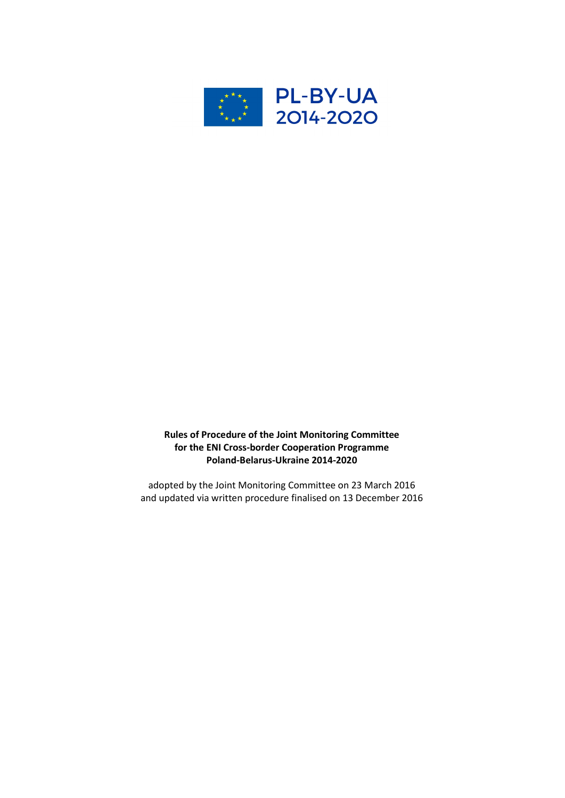

# Rules of Procedure of the Joint Monitoring Committee for the ENI Cross-border Cooperation Programme Poland-Belarus-Ukraine 2014-2020

adopted by the Joint Monitoring Committee on 23 March 2016 and updated via written procedure finalised on 13 December 2016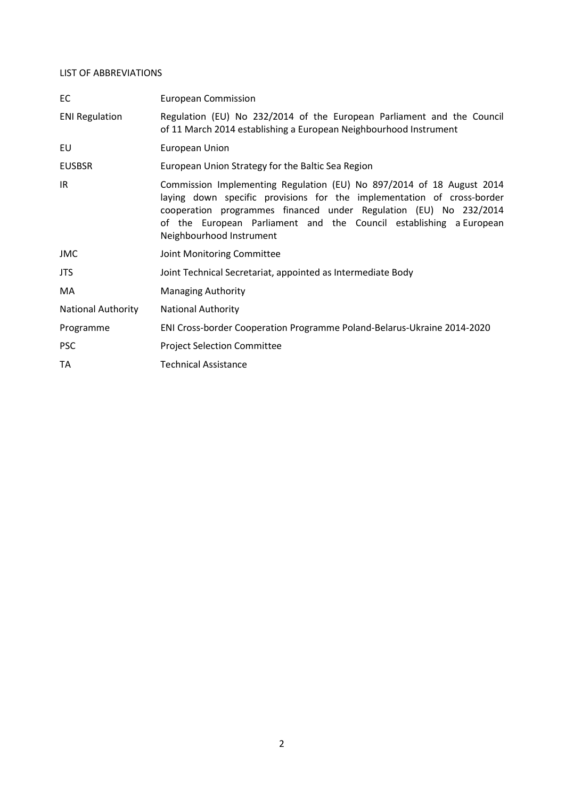## LIST OF ABBREVIATIONS

| EC                        | <b>European Commission</b>                                                                                                                                                                                                                                                                                             |
|---------------------------|------------------------------------------------------------------------------------------------------------------------------------------------------------------------------------------------------------------------------------------------------------------------------------------------------------------------|
| <b>ENI Regulation</b>     | Regulation (EU) No 232/2014 of the European Parliament and the Council<br>of 11 March 2014 establishing a European Neighbourhood Instrument                                                                                                                                                                            |
| EU                        | European Union                                                                                                                                                                                                                                                                                                         |
| <b>EUSBSR</b>             | European Union Strategy for the Baltic Sea Region                                                                                                                                                                                                                                                                      |
| IR                        | Commission Implementing Regulation (EU) No 897/2014 of 18 August 2014<br>laying down specific provisions for the implementation of cross-border<br>cooperation programmes financed under Regulation (EU) No 232/2014<br>of the European Parliament and the Council establishing a European<br>Neighbourhood Instrument |
| JMC                       | Joint Monitoring Committee                                                                                                                                                                                                                                                                                             |
| JTS.                      | Joint Technical Secretariat, appointed as Intermediate Body                                                                                                                                                                                                                                                            |
| MA                        | <b>Managing Authority</b>                                                                                                                                                                                                                                                                                              |
| <b>National Authority</b> | <b>National Authority</b>                                                                                                                                                                                                                                                                                              |
| Programme                 | ENI Cross-border Cooperation Programme Poland-Belarus-Ukraine 2014-2020                                                                                                                                                                                                                                                |
| <b>PSC</b>                | <b>Project Selection Committee</b>                                                                                                                                                                                                                                                                                     |
| TA                        | <b>Technical Assistance</b>                                                                                                                                                                                                                                                                                            |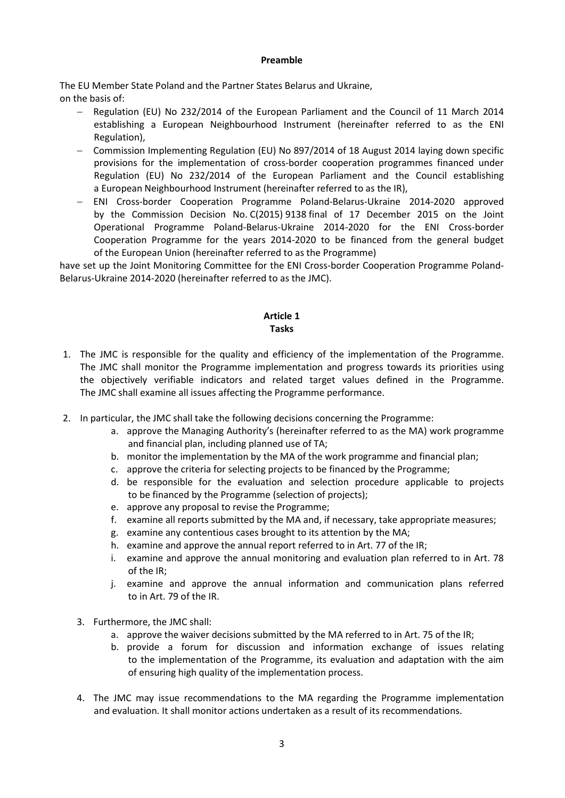#### Preamble

The EU Member State Poland and the Partner States Belarus and Ukraine, on the basis of:

- Regulation (EU) No 232/2014 of the European Parliament and the Council of 11 March 2014 establishing a European Neighbourhood Instrument (hereinafter referred to as the ENI Regulation),
- Commission Implementing Regulation (EU) No 897/2014 of 18 August 2014 laying down specific provisions for the implementation of cross-border cooperation programmes financed under Regulation (EU) No 232/2014 of the European Parliament and the Council establishing a European Neighbourhood Instrument (hereinafter referred to as the IR),
- ENI Cross-border Cooperation Programme Poland-Belarus-Ukraine 2014-2020 approved by the Commission Decision No. C(2015) 9138 final of 17 December 2015 on the Joint Operational Programme Poland-Belarus-Ukraine 2014-2020 for the ENI Cross-border Cooperation Programme for the years 2014-2020 to be financed from the general budget of the European Union (hereinafter referred to as the Programme)

have set up the Joint Monitoring Committee for the ENI Cross-border Cooperation Programme Poland-Belarus-Ukraine 2014-2020 (hereinafter referred to as the JMC).

#### Article 1 Tasks

- 1. The JMC is responsible for the quality and efficiency of the implementation of the Programme. The JMC shall monitor the Programme implementation and progress towards its priorities using the objectively verifiable indicators and related target values defined in the Programme. The JMC shall examine all issues affecting the Programme performance.
- 2. In particular, the JMC shall take the following decisions concerning the Programme:
	- a. approve the Managing Authority's (hereinafter referred to as the MA) work programme and financial plan, including planned use of TA;
	- b. monitor the implementation by the MA of the work programme and financial plan;
	- c. approve the criteria for selecting projects to be financed by the Programme;
	- d. be responsible for the evaluation and selection procedure applicable to projects to be financed by the Programme (selection of projects);
	- e. approve any proposal to revise the Programme;
	- f. examine all reports submitted by the MA and, if necessary, take appropriate measures;
	- g. examine any contentious cases brought to its attention by the MA;
	- h. examine and approve the annual report referred to in Art. 77 of the IR;
	- i. examine and approve the annual monitoring and evaluation plan referred to in Art. 78 of the IR;
	- j. examine and approve the annual information and communication plans referred to in Art. 79 of the IR.
	- 3. Furthermore, the JMC shall:
		- a. approve the waiver decisions submitted by the MA referred to in Art. 75 of the IR;
		- b. provide a forum for discussion and information exchange of issues relating to the implementation of the Programme, its evaluation and adaptation with the aim of ensuring high quality of the implementation process.
	- 4. The JMC may issue recommendations to the MA regarding the Programme implementation and evaluation. It shall monitor actions undertaken as a result of its recommendations.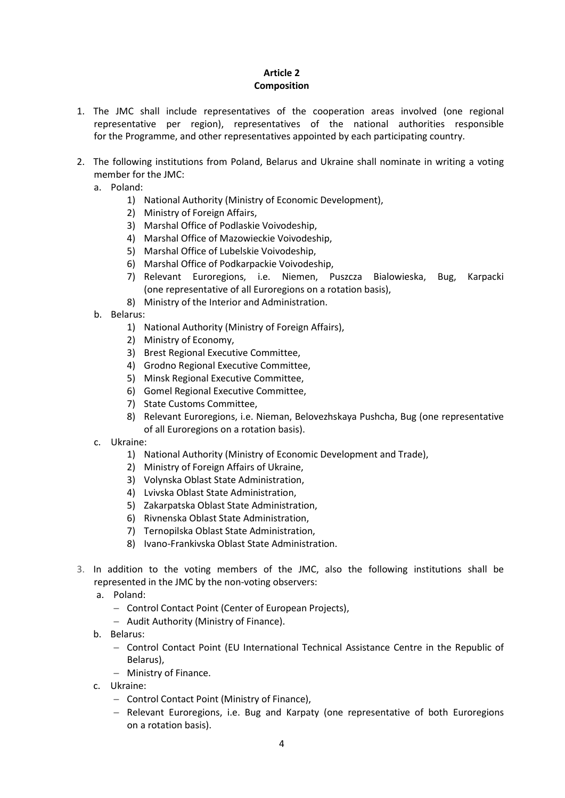# Article 2 Composition

- 1. The JMC shall include representatives of the cooperation areas involved (one regional representative per region), representatives of the national authorities responsible for the Programme, and other representatives appointed by each participating country.
- 2. The following institutions from Poland, Belarus and Ukraine shall nominate in writing a voting member for the JMC:
	- a. Poland:
		- 1) National Authority (Ministry of Economic Development),
		- 2) Ministry of Foreign Affairs,
		- 3) Marshal Office of Podlaskie Voivodeship,
		- 4) Marshal Office of Mazowieckie Voivodeship,
		- 5) Marshal Office of Lubelskie Voivodeship,
		- 6) Marshal Office of Podkarpackie Voivodeship,
		- 7) Relevant Euroregions, i.e. Niemen, Puszcza Bialowieska, Bug, Karpacki (one representative of all Euroregions on a rotation basis),
		- 8) Ministry of the Interior and Administration.
	- b. Belarus:
		- 1) National Authority (Ministry of Foreign Affairs),
		- 2) Ministry of Economy,
		- 3) Brest Regional Executive Committee,
		- 4) Grodno Regional Executive Committee,
		- 5) Minsk Regional Executive Committee,
		- 6) Gomel Regional Executive Committee,
		- 7) State Customs Committee,
		- 8) Relevant Euroregions, i.e. Nieman, Belovezhskaya Pushcha, Bug (one representative of all Euroregions on a rotation basis).
	- c. Ukraine:
		- 1) National Authority (Ministry of Economic Development and Trade),
		- 2) Ministry of Foreign Affairs of Ukraine,
		- 3) Volynska Oblast State Administration,
		- 4) Lvivska Oblast State Administration,
		- 5) Zakarpatska Oblast State Administration,
		- 6) Rivnenska Oblast State Administration,
		- 7) Ternopilska Oblast State Administration,
		- 8) Ivano-Frankivska Oblast State Administration.
- 3. In addition to the voting members of the JMC, also the following institutions shall be represented in the JMC by the non-voting observers:
	- a. Poland:
		- Control Contact Point (Center of European Projects).
		- Audit Authority (Ministry of Finance).
	- b. Belarus:
		- Control Contact Point (EU International Technical Assistance Centre in the Republic of Belarus),
		- Ministry of Finance.
	- c. Ukraine:
		- Control Contact Point (Ministry of Finance),
		- Relevant Euroregions, i.e. Bug and Karpaty (one representative of both Euroregions on a rotation basis).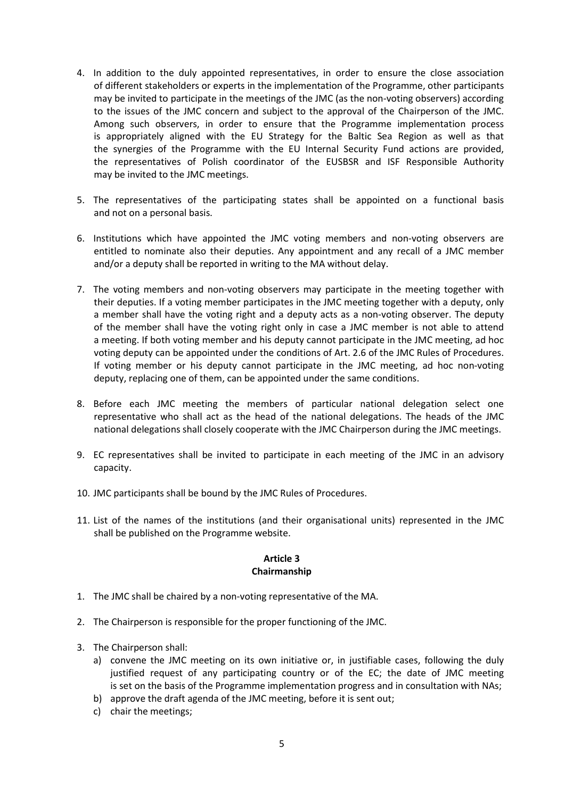- 4. In addition to the duly appointed representatives, in order to ensure the close association of different stakeholders or experts in the implementation of the Programme, other participants may be invited to participate in the meetings of the JMC (as the non-voting observers) according to the issues of the JMC concern and subject to the approval of the Chairperson of the JMC. Among such observers, in order to ensure that the Programme implementation process is appropriately aligned with the EU Strategy for the Baltic Sea Region as well as that the synergies of the Programme with the EU Internal Security Fund actions are provided, the representatives of Polish coordinator of the EUSBSR and ISF Responsible Authority may be invited to the JMC meetings.
- 5. The representatives of the participating states shall be appointed on a functional basis and not on a personal basis.
- 6. Institutions which have appointed the JMC voting members and non-voting observers are entitled to nominate also their deputies. Any appointment and any recall of a JMC member and/or a deputy shall be reported in writing to the MA without delay.
- 7. The voting members and non-voting observers may participate in the meeting together with their deputies. If a voting member participates in the JMC meeting together with a deputy, only a member shall have the voting right and a deputy acts as a non-voting observer. The deputy of the member shall have the voting right only in case a JMC member is not able to attend a meeting. If both voting member and his deputy cannot participate in the JMC meeting, ad hoc voting deputy can be appointed under the conditions of Art. 2.6 of the JMC Rules of Procedures. If voting member or his deputy cannot participate in the JMC meeting, ad hoc non-voting deputy, replacing one of them, can be appointed under the same conditions.
- 8. Before each JMC meeting the members of particular national delegation select one representative who shall act as the head of the national delegations. The heads of the JMC national delegations shall closely cooperate with the JMC Chairperson during the JMC meetings.
- 9. EC representatives shall be invited to participate in each meeting of the JMC in an advisory capacity.
- 10. JMC participants shall be bound by the JMC Rules of Procedures.
- 11. List of the names of the institutions (and their organisational units) represented in the JMC shall be published on the Programme website.

#### Article 3 Chairmanship

- 1. The JMC shall be chaired by a non-voting representative of the MA.
- 2. The Chairperson is responsible for the proper functioning of the JMC.
- 3. The Chairperson shall:
	- a) convene the JMC meeting on its own initiative or, in justifiable cases, following the duly justified request of any participating country or of the EC; the date of JMC meeting is set on the basis of the Programme implementation progress and in consultation with NAs;
	- b) approve the draft agenda of the JMC meeting, before it is sent out;
	- c) chair the meetings;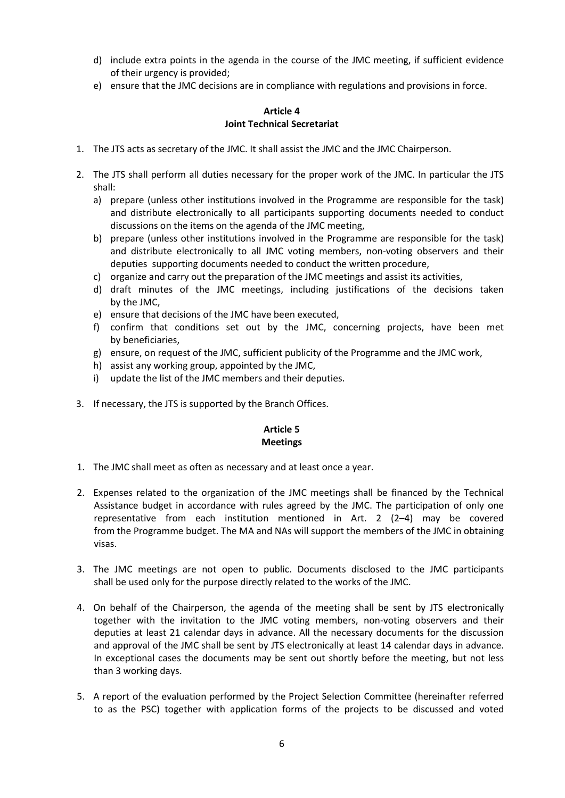- d) include extra points in the agenda in the course of the JMC meeting, if sufficient evidence of their urgency is provided;
- e) ensure that the JMC decisions are in compliance with regulations and provisions in force.

### Article 4 Joint Technical Secretariat

- 1. The JTS acts as secretary of the JMC. It shall assist the JMC and the JMC Chairperson.
- 2. The JTS shall perform all duties necessary for the proper work of the JMC. In particular the JTS shall:
	- a) prepare (unless other institutions involved in the Programme are responsible for the task) and distribute electronically to all participants supporting documents needed to conduct discussions on the items on the agenda of the JMC meeting,
	- b) prepare (unless other institutions involved in the Programme are responsible for the task) and distribute electronically to all JMC voting members, non-voting observers and their deputies supporting documents needed to conduct the written procedure,
	- c) organize and carry out the preparation of the JMC meetings and assist its activities,
	- d) draft minutes of the JMC meetings, including justifications of the decisions taken by the JMC,
	- e) ensure that decisions of the JMC have been executed,
	- f) confirm that conditions set out by the JMC, concerning projects, have been met by beneficiaries,
	- g) ensure, on request of the JMC, sufficient publicity of the Programme and the JMC work,
	- h) assist any working group, appointed by the JMC,
	- i) update the list of the JMC members and their deputies.
- 3. If necessary, the JTS is supported by the Branch Offices.

# Article 5 Meetings

- 1. The JMC shall meet as often as necessary and at least once a year.
- 2. Expenses related to the organization of the JMC meetings shall be financed by the Technical Assistance budget in accordance with rules agreed by the JMC. The participation of only one representative from each institution mentioned in Art. 2 (2–4) may be covered from the Programme budget. The MA and NAs will support the members of the JMC in obtaining visas.
- 3. The JMC meetings are not open to public. Documents disclosed to the JMC participants shall be used only for the purpose directly related to the works of the JMC.
- 4. On behalf of the Chairperson, the agenda of the meeting shall be sent by JTS electronically together with the invitation to the JMC voting members, non-voting observers and their deputies at least 21 calendar days in advance. All the necessary documents for the discussion and approval of the JMC shall be sent by JTS electronically at least 14 calendar days in advance. In exceptional cases the documents may be sent out shortly before the meeting, but not less than 3 working days.
- 5. A report of the evaluation performed by the Project Selection Committee (hereinafter referred to as the PSC) together with application forms of the projects to be discussed and voted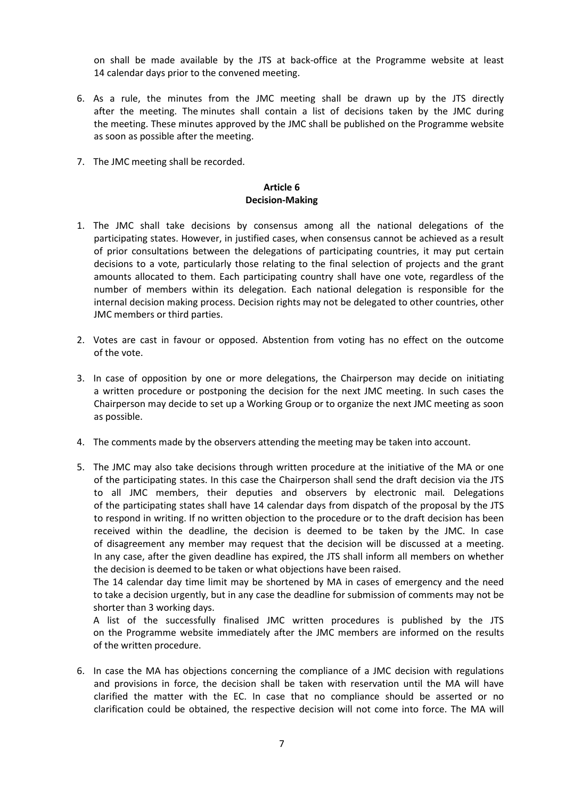on shall be made available by the JTS at back-office at the Programme website at least 14 calendar days prior to the convened meeting.

- 6. As a rule, the minutes from the JMC meeting shall be drawn up by the JTS directly after the meeting. The minutes shall contain a list of decisions taken by the JMC during the meeting. These minutes approved by the JMC shall be published on the Programme website as soon as possible after the meeting.
- 7. The JMC meeting shall be recorded.

#### Article 6 Decision-Making

- 1. The JMC shall take decisions by consensus among all the national delegations of the participating states. However, in justified cases, when consensus cannot be achieved as a result of prior consultations between the delegations of participating countries, it may put certain decisions to a vote, particularly those relating to the final selection of projects and the grant amounts allocated to them. Each participating country shall have one vote, regardless of the number of members within its delegation. Each national delegation is responsible for the internal decision making process. Decision rights may not be delegated to other countries, other JMC members or third parties.
- 2. Votes are cast in favour or opposed. Abstention from voting has no effect on the outcome of the vote.
- 3. In case of opposition by one or more delegations, the Chairperson may decide on initiating a written procedure or postponing the decision for the next JMC meeting. In such cases the Chairperson may decide to set up a Working Group or to organize the next JMC meeting as soon as possible.
- 4. The comments made by the observers attending the meeting may be taken into account.
- 5. The JMC may also take decisions through written procedure at the initiative of the MA or one of the participating states. In this case the Chairperson shall send the draft decision via the JTS to all JMC members, their deputies and observers by electronic mail. Delegations of the participating states shall have 14 calendar days from dispatch of the proposal by the JTS to respond in writing. If no written objection to the procedure or to the draft decision has been received within the deadline, the decision is deemed to be taken by the JMC. In case of disagreement any member may request that the decision will be discussed at a meeting. In any case, after the given deadline has expired, the JTS shall inform all members on whether the decision is deemed to be taken or what objections have been raised.

The 14 calendar day time limit may be shortened by MA in cases of emergency and the need to take a decision urgently, but in any case the deadline for submission of comments may not be shorter than 3 working days.

A list of the successfully finalised JMC written procedures is published by the JTS on the Programme website immediately after the JMC members are informed on the results of the written procedure.

6. In case the MA has objections concerning the compliance of a JMC decision with regulations and provisions in force, the decision shall be taken with reservation until the MA will have clarified the matter with the EC. In case that no compliance should be asserted or no clarification could be obtained, the respective decision will not come into force. The MA will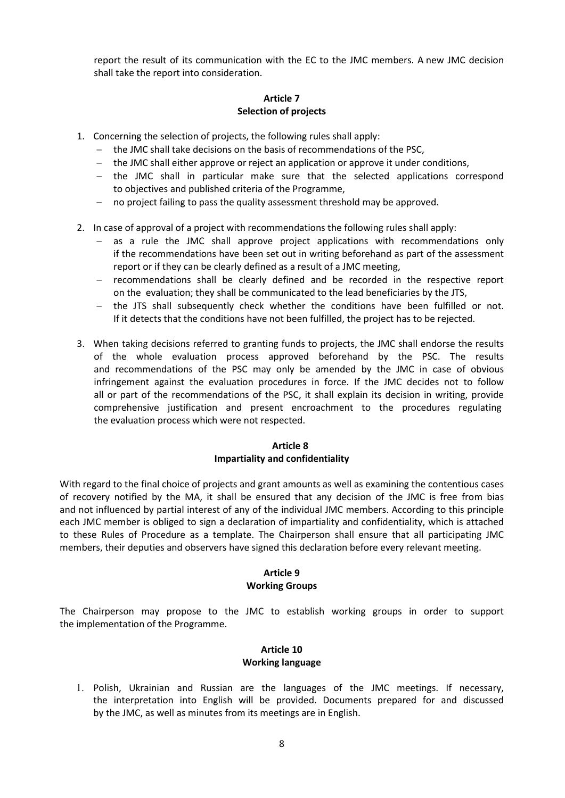report the result of its communication with the EC to the JMC members. A new JMC decision shall take the report into consideration.

## Article 7 Selection of projects

- 1. Concerning the selection of projects, the following rules shall apply:
	- the JMC shall take decisions on the basis of recommendations of the PSC,
	- $-$  the JMC shall either approve or reject an application or approve it under conditions,
	- the JMC shall in particular make sure that the selected applications correspond to objectives and published criteria of the Programme,
	- no project failing to pass the quality assessment threshold may be approved.
- 2. In case of approval of a project with recommendations the following rules shall apply:
	- as a rule the JMC shall approve project applications with recommendations only if the recommendations have been set out in writing beforehand as part of the assessment report or if they can be clearly defined as a result of a JMC meeting,
	- $-$  recommendations shall be clearly defined and be recorded in the respective report on the evaluation; they shall be communicated to the lead beneficiaries by the JTS,
	- the JTS shall subsequently check whether the conditions have been fulfilled or not. If it detects that the conditions have not been fulfilled, the project has to be rejected.
- 3. When taking decisions referred to granting funds to projects, the JMC shall endorse the results of the whole evaluation process approved beforehand by the PSC. The results and recommendations of the PSC may only be amended by the JMC in case of obvious infringement against the evaluation procedures in force. If the JMC decides not to follow all or part of the recommendations of the PSC, it shall explain its decision in writing, provide comprehensive justification and present encroachment to the procedures regulating the evaluation process which were not respected.

## Article 8 Impartiality and confidentiality

With regard to the final choice of projects and grant amounts as well as examining the contentious cases of recovery notified by the MA, it shall be ensured that any decision of the JMC is free from bias and not influenced by partial interest of any of the individual JMC members. According to this principle each JMC member is obliged to sign a declaration of impartiality and confidentiality, which is attached to these Rules of Procedure as a template. The Chairperson shall ensure that all participating JMC members, their deputies and observers have signed this declaration before every relevant meeting.

#### Article 9 Working Groups

The Chairperson may propose to the JMC to establish working groups in order to support the implementation of the Programme.

# Article 10 Working language

1. Polish, Ukrainian and Russian are the languages of the JMC meetings. If necessary, the interpretation into English will be provided. Documents prepared for and discussed by the JMC, as well as minutes from its meetings are in English.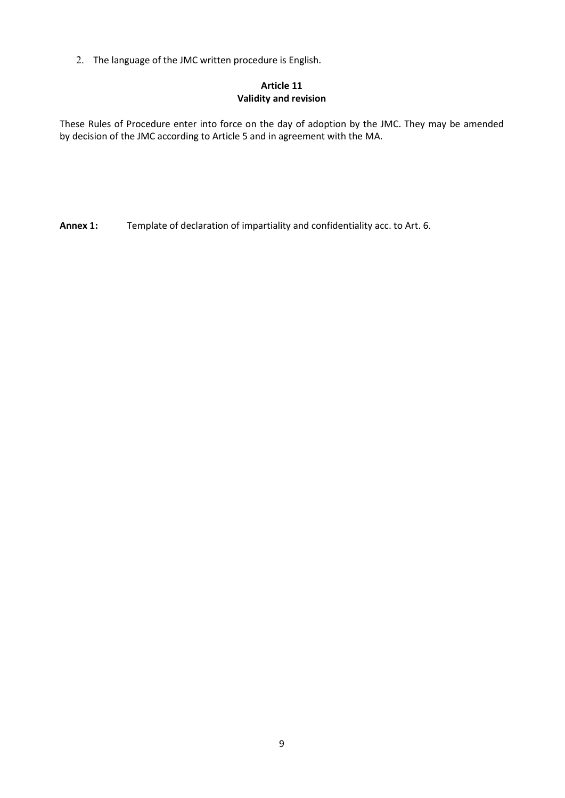2. The language of the JMC written procedure is English.

# Article 11 Validity and revision

These Rules of Procedure enter into force on the day of adoption by the JMC. They may be amended by decision of the JMC according to Article 5 and in agreement with the MA.

Annex 1: Template of declaration of impartiality and confidentiality acc. to Art. 6.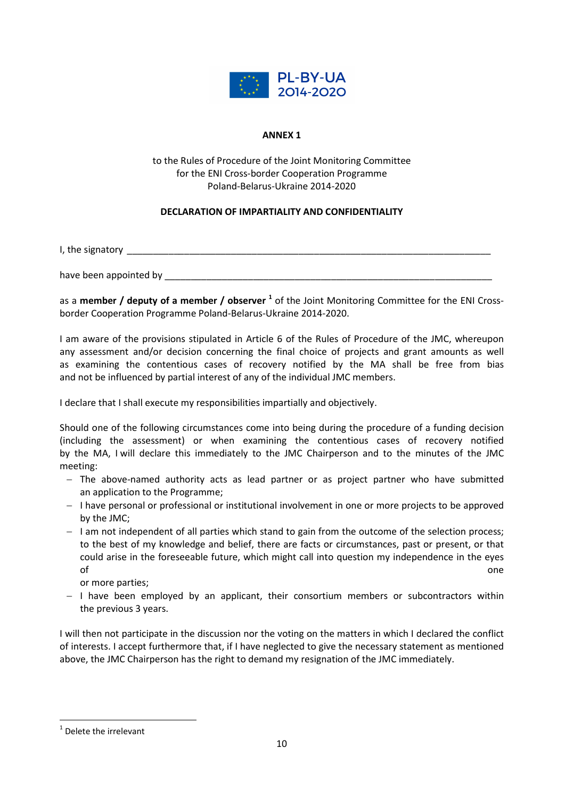

## ANNEX 1

to the Rules of Procedure of the Joint Monitoring Committee for the ENI Cross-border Cooperation Programme Poland-Belarus-Ukraine 2014-2020

# DECLARATION OF IMPARTIALITY AND CONFIDENTIALITY

I, the signatory **EXECUTE:**  $\frac{1}{2}$  is the signatory **EXECUTE:**  $\frac{1}{2}$  is the signatory **EXECUTE:**  $\frac{1}{2}$  is the signatory **EXECUTE:**  $\frac{1}{2}$  is the signatory **EXECUTE:**  $\frac{1}{2}$  is the signatory **EXECUTE:**  $\frac{$ 

have been appointed by the state of the state of the state of the state of the state of the state of the state o

as a member / deputy of a member / observer <sup>1</sup> of the Joint Monitoring Committee for the ENI Crossborder Cooperation Programme Poland-Belarus-Ukraine 2014-2020.

I am aware of the provisions stipulated in Article 6 of the Rules of Procedure of the JMC, whereupon any assessment and/or decision concerning the final choice of projects and grant amounts as well as examining the contentious cases of recovery notified by the MA shall be free from bias and not be influenced by partial interest of any of the individual JMC members.

I declare that I shall execute my responsibilities impartially and objectively.

Should one of the following circumstances come into being during the procedure of a funding decision (including the assessment) or when examining the contentious cases of recovery notified by the MA, I will declare this immediately to the JMC Chairperson and to the minutes of the JMC meeting:

- $-$  The above-named authority acts as lead partner or as project partner who have submitted an application to the Programme;
- $-$  I have personal or professional or institutional involvement in one or more projects to be approved by the JMC;
- $-$  I am not independent of all parties which stand to gain from the outcome of the selection process; to the best of my knowledge and belief, there are facts or circumstances, past or present, or that could arise in the foreseeable future, which might call into question my independence in the eyes of the contract of the contract of the contract of the contract of the contract of the contract of the contract of the contract of the contract of the contract of the contract of the contract of the contract of the contrac

or more parties;

 $-$  I have been employed by an applicant, their consortium members or subcontractors within the previous 3 years.

I will then not participate in the discussion nor the voting on the matters in which I declared the conflict of interests. I accept furthermore that, if I have neglected to give the necessary statement as mentioned above, the JMC Chairperson has the right to demand my resignation of the JMC immediately.

-

<sup>&</sup>lt;sup>1</sup> Delete the irrelevant